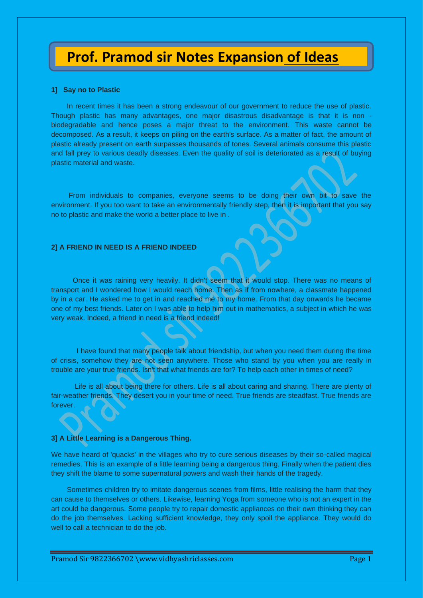# **Prof. Pramod sir Notes Expansion of Ideas**

# **1] Say no to Plastic**

 In recent times it has been a strong endeavour of our government to reduce the use of plastic. Though plastic has many advantages, one major disastrous disadvantage is that it is non biodegradable and hence poses a major threat to the environment. This waste cannot be decomposed. As a result, it keeps on piling on the earth's surface. As a matter of fact, the amount of plastic already present on earth surpasses thousands of tones. Several animals consume this plastic and fall prey to various deadly diseases. Even the quality of soil is deteriorated as a result of buying plastic material and waste.

 From individuals to companies, everyone seems to be doing their own bit to save the environment. If you too want to take an environmentally friendly step, then it is important that you say no to plastic and make the world a better place to live in .

# **2] A FRIEND IN NEED IS A FRIEND INDEED**

 Once it was raining very heavily. It didn't seem that it would stop. There was no means of transport and I wondered how I would reach home. Then as if from nowhere, a classmate happened by in a car. He asked me to get in and reached me to my home. From that day onwards he became one of my best friends. Later on I was able to help him out in mathematics, a subject in which he was very weak. Indeed, a friend in need is a friend indeed!

 I have found that many people talk about friendship, but when you need them during the time of crisis, somehow they are not seen anywhere. Those who stand by you when you are really in trouble are your true friends. Isn't that what friends are for? To help each other in times of need?

 Life is all about being there for others. Life is all about caring and sharing. There are plenty of fair-weather friends. They desert you in your time of need. True friends are steadfast. True friends are forever.

# **3] A Little Learning is a Dangerous Thing.**

We have heard of 'quacks' in the villages who try to cure serious diseases by their so-called magical remedies. This is an example of a little learning being a dangerous thing. Finally when the patient dies they shift the blame to some supernatural powers and wash their hands of the tragedy.

 Sometimes children try to imitate dangerous scenes from films, little realising the harm that they can cause to themselves or others. Likewise, learning Yoga from someone who is not an expert in the art could be dangerous. Some people try to repair domestic appliances on their own thinking they can do the job themselves. Lacking sufficient knowledge, they only spoil the appliance. They would do well to call a technician to do the job.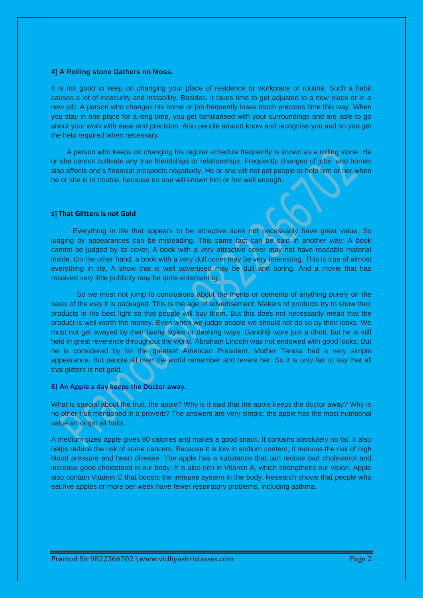#### **4] A Rolling stone Gathers no Moss.**

It is not good to keep on changing your place of residence or workplace or routine. Such a habit causes a lot of insecurity and instability. Besides, it takes time to get adjusted to a new place or in a new job. A person who changes his home or job frequently loses much precious time this way. When you stay in one place for a long time, you get familiarised with your surroundings and are able to go about your work with ease and precision. Also people around know and recognise you and so you get the help required when necessary.

 A person who keeps on changing his regular schedule frequently is known as a rolling stone. He or she cannot cultivate any true friendships or relationships. Frequently changes of jobs and homes also affects one's financial prospects negatively. He or she will not get people to help him or her when he or she is in trouble, because no one will known him or her well enough.

# **5] That Glitters is not Gold**

 Everything in life that appears to be attractive does not necessarily have great value. So judging by appearances can be misleading. This same fact can be said in another way: A book cannot be judged by its cover, A book with a very attractive cover may not have readable material inside. On the other hand, a book with a very dull cover may be very interesting. This is true of almost everything in life. A show that is well advertised may be dull and boring. And a movie that has received very little publicity may be quite entertaining.

 So we must not jump to conclusions about the merits or demerits of anything purely on the basis of the way it is packaged. This is the age of advertisement. Makers of products try to show their products in the best light so that people will buy them. But this does not necessarily mean that the product is well worth the money. Even when we judge people we should not do so by their looks. We must not get swayed by their flashy styles or dashing ways. Gandhiji wore just a dhoti, but he is still held in great reverence throughout the world. Abraham Lincoln was not endowed with good looks. But he is considered by far the greatest American President. Mother Teresa had a very simple appearance. But people all over the world remember and revere her. So it is only fair to say that all that glitters is not gold.

# **6] An Apple a day keeps the Doctor away.**

What is special about the fruit, the apple? Why is it said that the apple keeps the doctor away? Why is no other fruit mentioned in a proverb? The answers are very simple. the apple has the most nutritional value amongst all fruits.

A medium sized apple gives 80 calories and makes a good snack. It contains absolutely no fat. It also helps reduce the risk of some cancers. Because it is low in sodium content, it reduces the risk of high blood pressure and heart disease. The apple has a substance that can reduce bad cholesterol and increase good cholesterol in our body. It is also rich in Vitamin A, which strengthens our vision. Apple also contain Vitamin C that boosts the immune system in the body. Research shows that people who eat five apples or more per week have fewer respiratory problems, including asthma.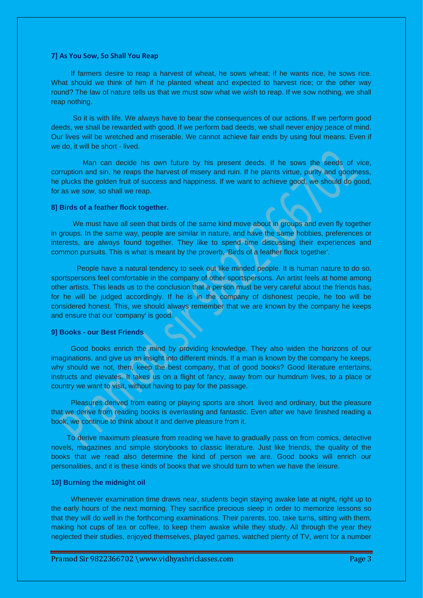#### **7] As You Sow, So Shall You Reap**

 If farmers desire to reap a harvest of wheat, he sows wheat; if he wants rice, he sows rice. What should we think of him if he planted wheat and expected to harvest rice; or the other way round? The law of nature tells us that we must sow what we wish to reap. If we sow nothing, we shall reap nothing.

 So it is with life. We always have to bear the consequences of our actions. If we perform good deeds, we shall be rewarded with good. If we perform bad deeds, we shall never enjoy peace of mind. Our lives will be wretched and miserable. We cannot achieve fair ends by using foul means. Even if we do, it will be short - lived.

 Man can decide his own future by his present deeds. If he sows the seeds of vice, corruption and sin, he reaps the harvest of misery and ruin. If he plants virtue, purity and goodness, he plucks the golden fruit of success and happiness. If we want to achieve good, we should do good, for as we sow, so shall we reap.

# **8] Birds of a feather flock together.**

 We must have all seen that birds of the same kind move about in groups and even fly together in groups. In the same way, people are similar in nature, and have the same hobbies, preferences or interests, are always found together. They like to spend time discussing their experiences and common pursuits. This is what is meant by the proverb, 'Birds of a feather flock together'.

 People have a natural tendency to seek out like minded people. It is human nature to do so. sportspersons feel comfortable in the company of other sportspersons. An artist feels at home among other artists. This leads us to the conclusion that a person must be very careful about the friends has, for he will be judged accordingly. If he is in the company of dishonest people, he too will be considered honest. This, we should always remember that we are known by the company he keeps and ensure that our 'company' is good.

#### **9] Books - our Best Friends**

 Good books enrich the mind by providing knowledge. They also widen the horizons of our imaginations, and give us an insight into different minds. If a man is known by the company he keeps, why should we not, then, keep the best company, that of good books? Good literature entertains, instructs and elevates. It takes us on a flight of fancy, away from our humdrum lives, to a place or country we want to visit, without having to pay for the passage.

 Pleasures derived from eating or playing sports are short lived and ordinary, but the pleasure that we derive from reading books is everlasting and fantastic. Even after we have finished reading a book, we continue to think about it and derive pleasure from it.

 To derive maximum pleasure from reading we have to gradually pass on from comics, detective novels, magazines and simple storybooks to classic literature. Just like friends, the quality of the books that we read also determine the kind of person we are. Good books will enrich our personalities, and it is these kinds of books that we should turn to when we have the leisure.

# **10] Burning the midnight oil**

 Whenever examination time draws near, students begin staying awake late at night, right up to the early hours of the next morning. They sacrifice precious sleep in order to memorize lessons so that they will do well in the forthcoming examinations. Their parents, too, take turns, sitting with them, making hot cups of tea or coffee, to keep them awake while they study. All through the year they neglected their studies, enjoyed themselves, played games, watched plenty of TV, went for a number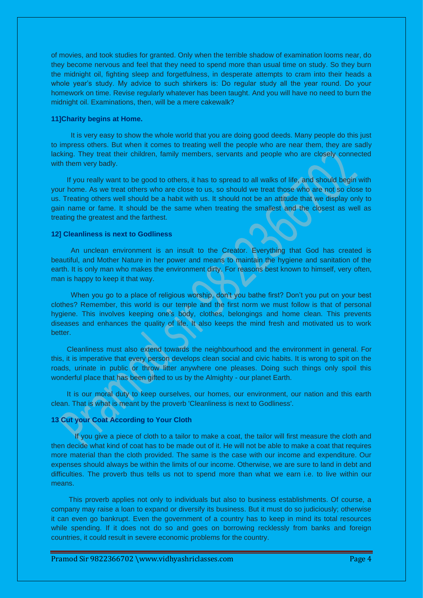of movies, and took studies for granted. Only when the terrible shadow of examination looms near, do they become nervous and feel that they need to spend more than usual time on study. So they burn the midnight oil, fighting sleep and forgetfulness, in desperate attempts to cram into their heads a whole year's study. My advice to such shirkers is: Do regular study all the year round. Do your homework on time. Revise regularly whatever has been taught. And you will have no need to burn the midnight oil. Examinations, then, will be a mere cakewalk?

# **11]Charity begins at Home.**

 It is very easy to show the whole world that you are doing good deeds. Many people do this just to impress others. But when it comes to treating well the people who are near them, they are sadly lacking. They treat their children, family members, servants and people who are closely connected with them very badly.

 If you really want to be good to others, it has to spread to all walks of life, and should begin with your home. As we treat others who are close to us, so should we treat those who are not so close to us. Treating others well should be a habit with us. It should not be an attitude that we display only to gain name or fame. It should be the same when treating the smallest and the closest as well as treating the greatest and the farthest.

# **12] Cleanliness is next to Godliness**

 An unclean environment is an insult to the Creator. Everything that God has created is beautiful, and Mother Nature in her power and means to maintain the hygiene and sanitation of the earth. It is only man who makes the environment dirty. For reasons best known to himself, very often, man is happy to keep it that way.

 When you go to a place of religious worship, don't you bathe first? Don't you put on your best clothes? Remember, this world is our temple and the first norm we must follow is that of personal hygiene. This involves keeping one's body, clothes, belongings and home clean. This prevents diseases and enhances the quality of life. It also keeps the mind fresh and motivated us to work better.

 Cleanliness must also extend towards the neighbourhood and the environment in general. For this, it is imperative that every person develops clean social and civic habits. It is wrong to spit on the roads, urinate in public or throw litter anywhere one pleases. Doing such things only spoil this wonderful place that has been gifted to us by the Almighty - our planet Earth.

It is our moral duty to keep ourselves, our homes, our environment, our nation and this earth clean. That is what is meant by the proverb 'Cleanliness is next to Godliness'.

#### **13 Cut your Coat According to Your Cloth**

 If you give a piece of cloth to a tailor to make a coat, the tailor will first measure the cloth and then decide what kind of coat has to be made out of it. He will not be able to make a coat that requires more material than the cloth provided. The same is the case with our income and expenditure. Our expenses should always be within the limits of our income. Otherwise, we are sure to land in debt and difficulties. The proverb thus tells us not to spend more than what we earn i.e. to live within our means.

 This proverb applies not only to individuals but also to business establishments. Of course, a company may raise a loan to expand or diversify its business. But it must do so judiciously; otherwise it can even go bankrupt. Even the government of a country has to keep in mind its total resources while spending. If it does not do so and goes on borrowing recklessly from banks and foreign countries, it could result in severe economic problems for the country.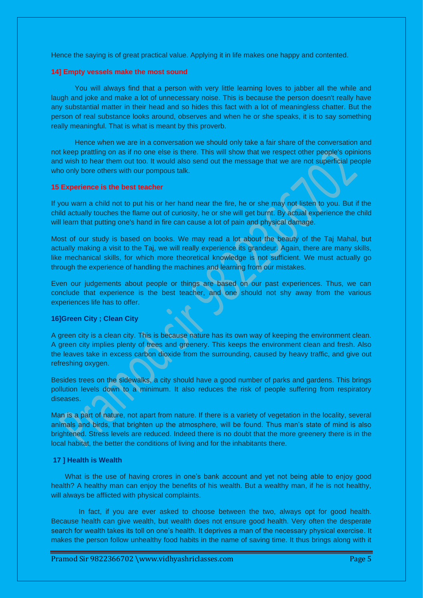Hence the saying is of great practical value. Applying it in life makes one happy and contented.

# **14] Empty vessels make the most sound**

 You will always find that a person with very little learning loves to jabber all the while and laugh and joke and make a lot of unnecessary noise. This is because the person doesn't really have any substantial matter in their head and so hides this fact with a lot of meaningless chatter. But the person of real substance looks around, observes and when he or she speaks, it is to say something really meaningful. That is what is meant by this proverb.

 Hence when we are in a conversation we should only take a fair share of the conversation and not keep prattling on as if no one else is there. This will show that we respect other people's opinions and wish to hear them out too. It would also send out the message that we are not superficial people who only bore others with our pompous talk.

# **15 Experience is the best teacher**

If you warn a child not to put his or her hand near the fire, he or she may not listen to you. But if the child actually touches the flame out of curiosity, he or she will get burnt. By actual experience the child will learn that putting one's hand in fire can cause a lot of pain and physical damage.

Most of our study is based on books. We may read a lot about the beauty of the Taj Mahal, but actually making a visit to the Taj, we will really experience its grandeur. Again, there are many skills, like mechanical skills, for which more theoretical knowledge is not sufficient. We must actually go through the experience of handling the machines and learning from our mistakes.

Even our judgements about people or things are based on our past experiences. Thus, we can conclude that experience is the best teacher, and one should not shy away from the various experiences life has to offer.

# **16]Green City ; Clean City**

A green city is a clean city. This is because nature has its own way of keeping the environment clean. A green city implies plenty of trees and greenery. This keeps the environment clean and fresh. Also the leaves take in excess carbon dioxide from the surrounding, caused by heavy traffic, and give out refreshing oxygen.

Besides trees on the sidewalks, a city should have a good number of parks and gardens. This brings pollution levels down to a minimum. It also reduces the risk of people suffering from respiratory diseases.

Man is a part of nature, not apart from nature. If there is a variety of vegetation in the locality, several animals and birds, that brighten up the atmosphere, will be found. Thus man's state of mind is also brightened. Stress levels are reduced. Indeed there is no doubt that the more greenery there is in the local habitat, the better the conditions of living and for the inhabitants there.

#### **17 ] Health is Wealth**

 What is the use of having crores in one's bank account and yet not being able to enjoy good health? A healthy man can enjoy the benefits of his wealth. But a wealthy man, if he is not healthy, will always be afflicted with physical complaints.

 In fact, if you are ever asked to choose between the two, always opt for good health. Because health can give wealth, but wealth does not ensure good health. Very often the desperate search for wealth takes its toll on one's health. It deprives a man of the necessary physical exercise. It makes the person follow unhealthy food habits in the name of saving time. It thus brings along with it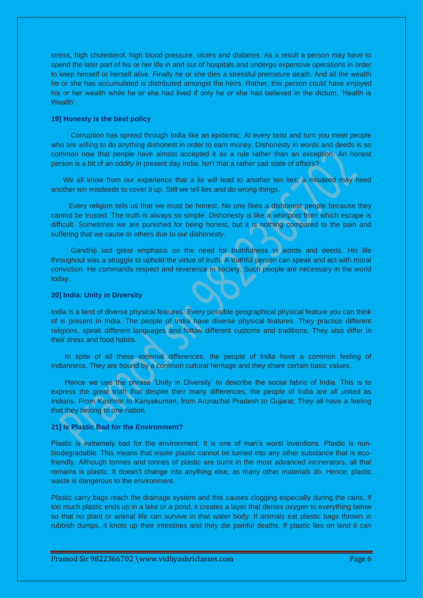stress, high cholesterol, high blood pressure, ulcers and diabetes. As a result a person may have to spend the later part of his or her life in and out of hospitals and undergo expensive operations in order to keep himself or herself alive. Finally he or she dies a stressful premature death. And all the wealth he or she has accumulated is distributed amongst the heirs. Rather, this person could have enjoyed his or her wealth while he or she had lived if only he or she had believed in the dictum, 'Health is Wealth'.

#### **19] Honesty is the best policy**

 Corruption has spread through India like an epidemic. At every twist and turn you meet people who are willing to do anything dishonest in order to earn money. Dishonesty in words and deeds is so common now that people have almost accepted it as a rule rather than an exception. An honest person is a bit of an oddity in present day India. Isn't that a rather sad state of affairs?

We all know from our experience that a lie will lead to another ten lies; a misdeed may need another ten misdeeds to cover it up. Still we tell lies and do wrong things.

 Every religion tells us that we must be honest. No one likes a dishonest people because they cannot be trusted. The truth is always so simple. Dishonesty is like a whirlpool from which escape is difficult. Sometimes we are punished for being honest, but it is nothing compared to the pain and suffering that we cause to others due to our dishonesty.

Gandhiji laid great emphasis on the need for truthfulness in words and deeds. His life throughout was a struggle to uphold the virtue of truth. A truthful person can speak and act with moral conviction. He commands respect and reverence in society. Such people are necessary in the world today.

#### **20] India: Unity in Diversity**

India is a land of diverse physical features. Every possible geographical physical feature you can think of is present in India. The people of India have diverse physical features. They practice different religions, speak different languages and follow different customs and traditions. They also differ in their dress and food habits.

 In spite of all these external differences, the people of India have a common feeling of Indianness. They are bound by a common cultural heritage and they share certain basic values.

 Hence we use the phrase 'Unity in Diversity' to describe the social fabric of India. This is to express the great truth that despite their many differences, the people of India are all united as Indians. From Kashmir to Kanyakumari, from Arunachal Pradesh to Gujarat, They all have a feeling that they belong to one nation.

#### **21] Is Plastic Bad for the Environment?**

Plastic is extremely bad for the environment. It is one of man's worst inventions. Plastic is nonbiodegradable. This means that waste plastic cannot be turned into any other substance that is ecofriendly. Although tonnes and tonnes of plastic are burnt in the most advanced incinerators, all that remains is plastic. It doesn't change into anything else, as many other materials do. Hence, plastic waste is dangerous to the environment.

Plastic carry bags reach the drainage system and this causes clogging especially during the rains. If too much plastic ends up in a lake or a pond, it creates a layer that denies oxygen to everything below so that no plant or animal life can survive in that water body. If animals eat plastic bags thrown in rubbish dumps, it knots up their intestines and they die painful deaths. If plastic lies on land it can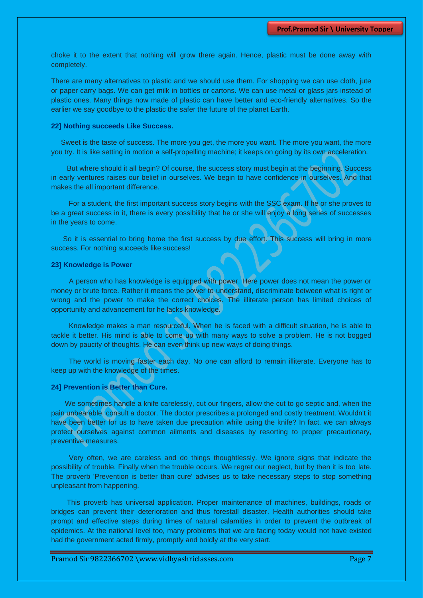choke it to the extent that nothing will grow there again. Hence, plastic must be done away with completely.

There are many alternatives to plastic and we should use them. For shopping we can use cloth, jute or paper carry bags. We can get milk in bottles or cartons. We can use metal or glass jars instead of plastic ones. Many things now made of plastic can have better and eco-friendly alternatives. So the earlier we say goodbye to the plastic the safer the future of the planet Earth.

## **22] Nothing succeeds Like Success.**

 Sweet is the taste of success. The more you get, the more you want. The more you want, the more you try. It is like setting in motion a self-propelling machine; it keeps on going by its own acceleration.

 But where should it all begin? Of course, the success story must begin at the beginning. Success in early ventures raises our belief in ourselves. We begin to have confidence in ourselves. And that makes the all important difference.

 For a student, the first important success story begins with the SSC exam. If he or she proves to be a great success in it, there is every possibility that he or she will enjoy a long series of successes in the years to come.

 So it is essential to bring home the first success by due effort. This success will bring in more success. For nothing succeeds like success!

#### **23] Knowledge is Power**

 A person who has knowledge is equipped with power. Here power does not mean the power or money or brute force. Rather it means the power to understand, discriminate between what is right or wrong and the power to make the correct choices. The illiterate person has limited choices of opportunity and advancement for he lacks knowledge.

 Knowledge makes a man resourceful. When he is faced with a difficult situation, he is able to tackle it better. His mind is able to come up with many ways to solve a problem. He is not bogged down by paucity of thoughts. He can even think up new ways of doing things.

 The world is moving faster each day. No one can afford to remain illiterate. Everyone has to keep up with the knowledge of the times.

# **24] Prevention is Better than Cure.**

 We sometimes handle a knife carelessly, cut our fingers, allow the cut to go septic and, when the pain unbearable, consult a doctor. The doctor prescribes a prolonged and costly treatment. Wouldn't it have been better for us to have taken due precaution while using the knife? In fact, we can always protect ourselves against common ailments and diseases by resorting to proper precautionary, preventive measures.

 Very often, we are careless and do things thoughtlessly. We ignore signs that indicate the possibility of trouble. Finally when the trouble occurs. We regret our neglect, but by then it is too late. The proverb 'Prevention is better than cure' advises us to take necessary steps to stop something unpleasant from happening.

 This proverb has universal application. Proper maintenance of machines, buildings, roads or bridges can prevent their deterioration and thus forestall disaster. Health authorities should take prompt and effective steps during times of natural calamities in order to prevent the outbreak of epidemics. At the national level too, many problems that we are facing today would not have existed had the government acted firmly, promptly and boldly at the very start.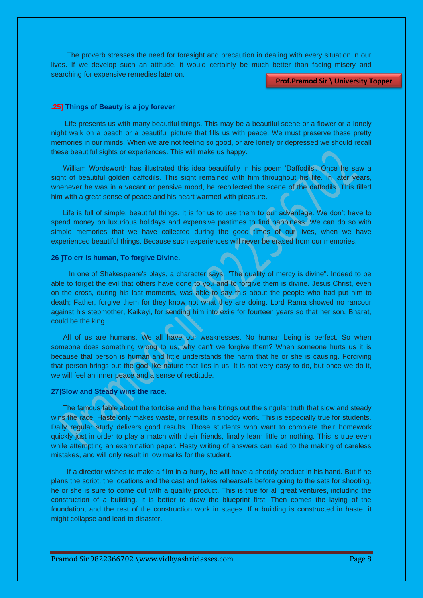The proverb stresses the need for foresight and precaution in dealing with every situation in our lives. If we develop such an attitude, it would certainly be much better than facing misery and searching for expensive remedies later on.

**Prof.Pramod Sir \ University Topper**

# **.25] Things of Beauty is a joy forever**

 Life presents us with many beautiful things. This may be a beautiful scene or a flower or a lonely night walk on a beach or a beautiful picture that fills us with peace. We must preserve these pretty memories in our minds. When we are not feeling so good, or are lonely or depressed we should recall these beautiful sights or experiences. This will make us happy.

 William Wordsworth has illustrated this idea beautifully in his poem 'Daffodils'. Once he saw a sight of beautiful golden daffodils. This sight remained with him throughout his life. In later years, whenever he was in a vacant or pensive mood, he recollected the scene of the daffodils. This filled him with a great sense of peace and his heart warmed with pleasure.

 Life is full of simple, beautiful things. It is for us to use them to our advantage. We don't have to spend money on luxurious holidays and expensive pastimes to find happiness. We can do so with simple memories that we have collected during the good times of our lives, when we have experienced beautiful things. Because such experiences will never be erased from our memories.

# **26 ]To err is human, To forgive Divine.**

In one of Shakespeare's plays, a character says, "The quality of mercy is divine". Indeed to be able to forget the evil that others have done to you and to forgive them is divine. Jesus Christ, even on the cross, during his last moments, was able to say this about the people who had put him to death; Father, forgive them for they know not what they are doing. Lord Rama showed no rancour against his stepmother, Kaikeyi, for sending him into exile for fourteen years so that her son, Bharat, could be the king.

 All of us are humans. We all have our weaknesses. No human being is perfect. So when someone does something wrong to us, why can't we forgive them? When someone hurts us it is because that person is human and little understands the harm that he or she is causing. Forgiving that person brings out the god-like nature that lies in us. It is not very easy to do, but once we do it, we will feel an inner peace and a sense of rectitude.

# **27]Slow and Steady wins the race.**

 The famous fable about the tortoise and the hare brings out the singular truth that slow and steady wins the race. Haste only makes waste, or results in shoddy work. This is especially true for students. Daily regular study delivers good results. Those students who want to complete their homework quickly just in order to play a match with their friends, finally learn little or nothing. This is true even while attempting an examination paper. Hasty writing of answers can lead to the making of careless mistakes, and will only result in low marks for the student.

 If a director wishes to make a film in a hurry, he will have a shoddy product in his hand. But if he plans the script, the locations and the cast and takes rehearsals before going to the sets for shooting, he or she is sure to come out with a quality product. This is true for all great ventures, including the construction of a building. It is better to draw the blueprint first. Then comes the laying of the foundation, and the rest of the construction work in stages. If a building is constructed in haste, it might collapse and lead to disaster.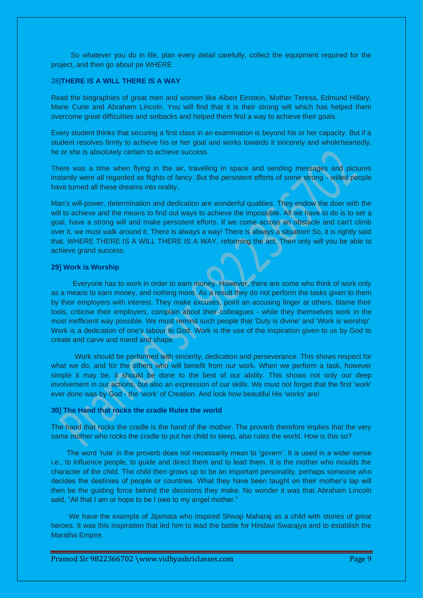So whatever you do in life, plan every detail carefully, collect the equipment required for the project, and then go about pe WHERE

# 28]**THERE IS A WILL THERE IS A WAY**

Read the biographies of great men and women like Albert Einstein, Mother Teresa, Edmund Hillary, Marie Curie and Abraham Lincoln. You will find that it is their strong will which has helped them overcome great difficulties and setbacks and helped them find a way to achieve their goals.

Every student thinks that securing a first class in an examination is beyond his or her capacity. But if a student resolves firmly to achieve his or her goal and works towards it sincerely and wholeheartedly, he or she is absolutely certain to achieve success.

There was a time when flying in the air, travelling in space and sending messages and pictures instantly were all regarded as flights of fancy. But the persistent efforts of some strong - willed people have turned all these dreams into reality.

Man's will-power, determination and dedication are wonderful qualities. They endow the doer with the will to achieve and the means to find out ways to achieve the impossible. All we have to do is to set a goal, have a strong will and make persistent efforts. If we come across an obstacle and can't climb over it, we must walk around it. There is always a way! There is always a situation! So, it is rightly said that, WHERE THERE IS A WILL THERE IS A WAY. reforming the act. Then only will you be able to achieve grand success.

## **29] Work is Worship**

 Everyone has to work in order to earn money. However, there are some who think of work only as a means to earn money, and nothing more. As a result they do not perform the tasks given to them by their employers with interest. They make excuses, point an accusing finger at others, blame their tools, criticise their employers, complain about their colleagues - while they themselves work in the most inefficient way possible. We must remind such people that 'Duty is divine' and 'Work is worship'. Work is a dedication of one's labour to God. Work is the use of the inspiration given to us by God to create and carve and mend and shape.

 Work should be performed with sincerity, dedication and perseverance. This shows respect for what we do, and for the others who will benefit from our work. When we perform a task, however simple it may be, it should be done to the best of our ability. This shows not only our deep involvement in our actions, but also an expression of our skills. We must not forget that the first 'work' ever done was by God - the 'work' of Creation. And look how beautiful His 'works' are!

# **30] The Hand that rocks the cradle Rules the world**

The hand that rocks the cradle is the hand of the mother. The proverb therefore implies that the very same mother who rocks the cradle to put her child to sleep, also rules the world. How is this so?

 The word 'rule' in the proverb does not necessarily mean to 'govern'. It is used in a wider sense i.e., to influence people, to guide and direct them and to lead them. It is the mother who moulds the character of the child. The child then grows up to be an important personality, perhaps someone who decides the destinies of people or countries. What they have been taught on their mother's lap will then be the guiding force behind the decisions they make. No wonder it was that Abraham Lincoln said, "All that I am or hope to be I owe to my angel mother."

We have the example of Jijamata who inspired Shivaii Maharaj as a child with stories of great heroes. It was this inspiration that led him to lead the battle for Hindavi Swarajya and to establish the Maratha Empire.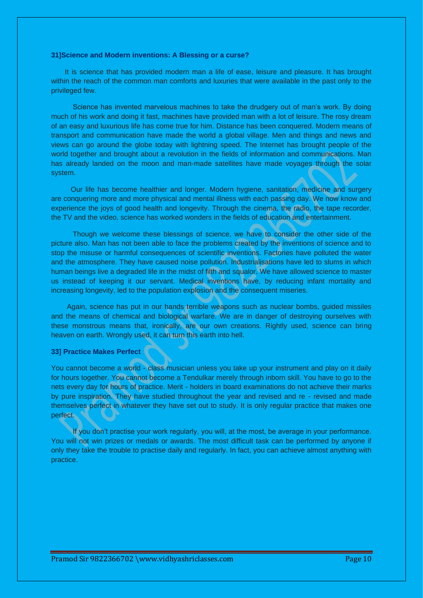#### **31]Science and Modern inventions: A Blessing or a curse?**

 It is science that has provided modern man a life of ease, leisure and pleasure. It has brought within the reach of the common man comforts and luxuries that were available in the past only to the privileged few.

 Science has invented marvelous machines to take the drudgery out of man's work. By doing much of his work and doing it fast, machines have provided man with a lot of leisure. The rosy dream of an easy and luxurious life has come true for him. Distance has been conquered. Modern means of transport and communication have made the world a global village. Men and things and news and views can go around the globe today with lightning speed. The Internet has brought people of the world together and brought about a revolution in the fields of information and communications. Man has already landed on the moon and man-made satellites have made voyages through the solar system.

 Our life has become healthier and longer. Modern hygiene, sanitation, medicine and surgery are conquering more and more physical and mental illness with each passing day. We now know and experience the joys of good health and longevity. Through the cinema, the radio, the tape recorder, the TV and the video, science has worked wonders in the fields of education and entertainment.

 Though we welcome these blessings of science, we have to consider the other side of the picture also. Man has not been able to face the problems created by the inventions of science and to stop the misuse or harmful consequences of scientific inventions. Factories have polluted the water and the atmosphere. They have caused noise pollution. Industrialisations have led to slums in which human beings live a degraded life in the midst of filth and squalor. We have allowed science to master us instead of keeping it our servant. Medical inventions have, by reducing infant mortality and increasing longevity, led to the population explosion and the consequent miseries.

 Again, science has put in our hands terrible weapons such as nuclear bombs, guided missiles and the means of chemical and biological warfare. We are in danger of destroying ourselves with these monstrous means that, ironically, are our own creations. Rightly used, science can bring heaven on earth. Wrongly used, it can turn this earth into hell.

## **33] Practice Makes Perfect**

You cannot become a world - class musician unless you take up your instrument and play on it daily for hours together. You cannot become a Tendulkar merely through inborn skill. You have to go to the nets every day for hours of practice. Merit - holders in board examinations do not achieve their marks by pure inspiration. They have studied throughout the year and revised and re - revised and made themselves perfect in whatever they have set out to study. It is only regular practice that makes one perfect.

 If you don't practise your work regularly, you will, at the most, be average in your performance. You will not win prizes or medals or awards. The most difficult task can be performed by anyone if only they take the trouble to practise daily and regularly. In fact, you can achieve almost anything with practice.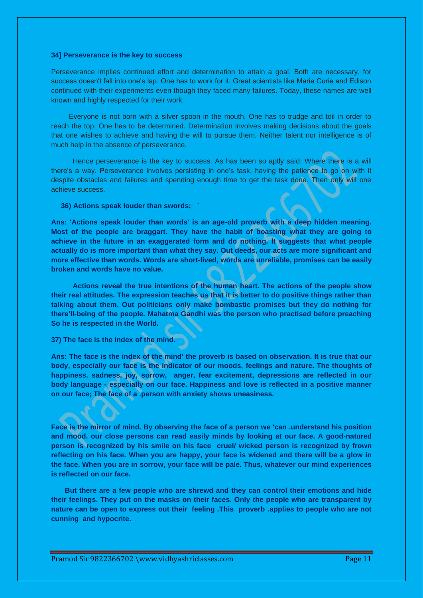#### **34] Perseverance is the key to success**

Perseverance implies continued effort and determination to attain a goal. Both are necessary, for success doesn't fall into one's lap. One has to work for it. Great scientists like Marie Curie and Edison continued with their experiments even though they faced many failures. Today, these names are well known and highly respected for their work.

 Everyone is not born with a silver spoon in the mouth. One has to trudge and toil in order to reach the top. One has to be determined. Determination involves making decisions about the goals that one wishes to achieve and having the will to pursue them. Neither talent nor intelligence is of much help in the absence of perseverance.

 Hence perseverance is the key to success. As has been so aptly said: Where there is a will there's a way. Perseverance involves persisting in one's task, having the patience to go on with it despite obstacles and failures and spending enough time to get the task done. Then only will one achieve success.

 **36) Actions speak louder than swords; `**

**Ans: 'Actions speak louder than words' is an age-old proverb with a deep hidden meaning. Most of the people are braggart. They have the habit of boasting what they are going to achieve in the future in an exaggerated form and do nothing. lt suggests that what people actually do is more important than what they say. Out deeds, our acts are more significant and more effective than words. Words are short-lived, words are unreliable, promises can be easily broken and words have no value.** 

 **Actions reveal the true intentions of the human heart. The actions of the people show their real attitudes. The expression teaches us that it is better to do positive things rather than talking about them. Out politicians only make bombastic promises but they do nothing for there'll-being of the people. Mahatma Gandhi was the person who practised before preaching So he is respected in the World.**

**37) The face is the index of the mind.** 

**Ans: The face is the index of the mind' the proverb is based on observation. It is true that our body, especially our face is the indicator of our moods, feelings and nature. The thoughts of happiness. sadness. joy, sorrow, anger, fear excitement, depressions are reflected in our body language - especially on our face. Happiness and love is reflected in a positive manner on our face; The face of a .person with anxiety shows uneasiness.** 

**Face is the mirror of mind. By observing the face of a person we 'can .understand his position and mood. our close persons can read easily minds by looking at our face. A good-natured person is recognized by his smile on his face cruel/ wicked person is recognized by frown reflecting on his face. When you are happy, your face is widened and there will be a glow in the face. When you are in sorrow, your face will be pale. Thus, whatever our mind experiences is reflected on our face.** 

 **But there are a few people who are shrewd and they can control their emotions and hide their feelings. They put on the masks on their faces. Only the people who are transparent by nature can be open to express out their feeling .This proverb .applies to people who are not cunning and hypocrite.**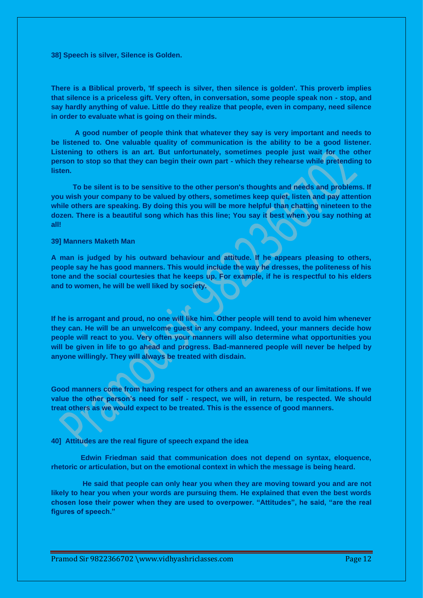**38] Speech is silver, Silence is Golden.** 

**There is a Biblical proverb, 'If speech is silver, then silence is golden'. This proverb implies that silence is a priceless gift. Very often, in conversation, some people speak non - stop, and say hardly anything of value. Little do they realize that people, even in company, need silence in order to evaluate what is going on their minds.** 

 **A good number of people think that whatever they say is very important and needs to be listened to. One valuable quality of communication is the ability to be a good listener. Listening to others is an art. But unfortunately, sometimes people just wait for the other person to stop so that they can begin their own part - which they rehearse while pretending to listen.** 

 **To be silent is to be sensitive to the other person's thoughts and needs and problems. If you wish your company to be valued by others, sometimes keep quiet, listen and pay attention while others are speaking. By doing this you will be more helpful than chatting nineteen to the dozen. There is a beautiful song which has this line; You say it best when you say nothing at all!**

# **39] Manners Maketh Man**

**A man is judged by his outward behaviour and attitude. If he appears pleasing to others, people say he has good manners. This would include the way he dresses, the politeness of his tone and the social courtesies that he keeps up. For example, if he is respectful to his elders and to women, he will be well liked by society.** 

**If he is arrogant and proud, no one will like him. Other people will tend to avoid him whenever they can. He will be an unwelcome guest in any company. Indeed, your manners decide how people will react to you. Very often your manners will also determine what opportunities you will be given in life to go ahead and progress. Bad-mannered people will never be helped by anyone willingly. They will always be treated with disdain.** 

**Good manners come from having respect for others and an awareness of our limitations. If we value the other person's need for self - respect, we will, in return, be respected. We should treat others as we would expect to be treated. This is the essence of good manners.**

# **40] Attitudes are the real figure of speech expand the idea**

 **Edwin Friedman said that communication does not depend on syntax, eloquence, rhetoric or articulation, but on the emotional context in which the message is being heard.**

 **He said that people can only hear you when they are moving toward you and are not likely to hear you when your words are pursuing them. He explained that even the best words chosen lose their power when they are used to overpower. "Attitudes", he said, "are the real figures of speech."**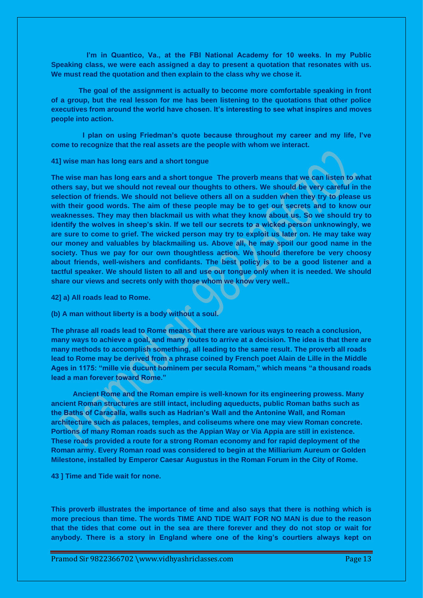**I'm in Quantico, Va., at the FBI National Academy for 10 weeks. In my Public Speaking class, we were each assigned a day to present a quotation that resonates with us. We must read the quotation and then explain to the class why we chose it.**

 **The goal of the assignment is actually to become more comfortable speaking in front of a group, but the real lesson for me has been listening to the quotations that other police executives from around the world have chosen. It's interesting to see what inspires and moves people into action.**

 **I plan on using Friedman's quote because throughout my career and my life, I've come to recognize that the real assets are the people with whom we interact.**

# **41] wise man has long ears and a short tongue**

**The wise man has long ears and a short tongue The proverb means that we can listen to what others say, but we should not reveal our thoughts to others. We should be very careful in the selection of friends. We should not believe others all on a sudden when they try to please us with their good words. The aim of these people may be to get our secrets and to know our weaknesses. They may then blackmail us with what they know about us. So we should try to identify the wolves in sheep's skin. If we tell our secrets to a wicked person unknowingly, we are sure to come to grief. The wicked person may try to exploit us later on. He may take way our money and valuables by blackmailing us. Above all, he may spoil our good name in the society. Thus we pay for our own thoughtless action. We should therefore be very choosy about friends, well-wishers and confidants. The best policy is to be a good listener and a tactful speaker. We should listen to all and use our tongue only when it is needed. We should share our views and secrets only with those whom we know very well..**

**42] a) All roads lead to Rome.**

**(b) A man without liberty is a body without a soul.**

**The phrase all roads lead to Rome means that there are various ways to reach a conclusion, many ways to achieve a goal, and many routes to arrive at a decision. The idea is that there are many methods to accomplish something, all leading to the same result. The proverb all roads lead to Rome may be derived from a phrase coined by French poet Alain de Lille in the Middle Ages in 1175: "mille vie ducunt hominem per secula Romam," which means "a thousand roads lead a man forever toward Rome."** 

 **Ancient Rome and the Roman empire is well-known for its engineering prowess. Many ancient Roman structures are still intact, including aqueducts, public Roman baths such as the Baths of Caracalla, walls such as Hadrian's Wall and the Antonine Wall, and Roman architecture such as palaces, temples, and coliseums where one may view Roman concrete. Portions of many Roman roads such as the Appian Way or Via Appia are still in existence. These roads provided a route for a strong Roman economy and for rapid deployment of the Roman army. Every Roman road was considered to begin at the Milliarium Aureum or Golden Milestone, installed by Emperor Caesar Augustus in the Roman Forum in the City of Rome.**

**43 ] Time and Tide wait for none.**

**This proverb illustrates the importance of time and also says that there is nothing which is more precious than time. The words TIME AND TIDE WAIT FOR NO MAN is due to the reason that the tides that come out in the sea are there forever and they do not stop or wait for anybody. There is a story in England where one of the king's courtiers always kept on**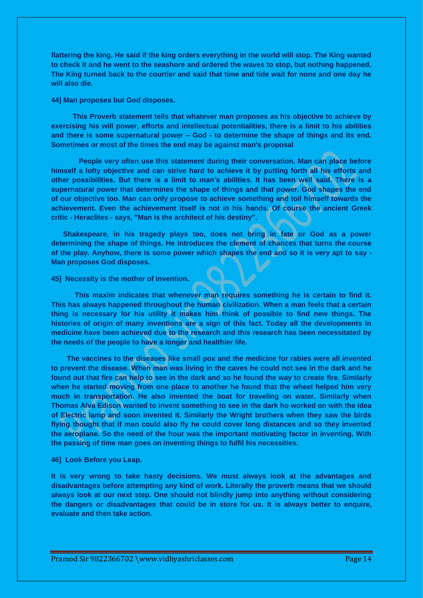**flattering the king. He said if the king orders everything in the world will stop. The King wanted to check it and he went to the seashore and ordered the waves to stop, but nothing happened. The King turned back to the courtier and said that time and tide wait for none and one day he will also die.**

**44] Man proposes but God disposes.** 

 **This Proverb statement tells that whatever man proposes as his objective to achieve by exercising his will power, efforts and intellectual potentialities, there is a limit to his abilities and there is some supernatural power – God - to determine the shape of things and its end. Sometimes or most of the times the end may be against man's proposal**

 **People very often use this statement during their conversation. Man can place before himself a lofty objective and can strive hard to achieve it by putting forth all his efforts and other possibilities. But there is a limit to man's abilities. It has been well said. There is a supernatural power that determines the shape of things and that power. God shapes the end of our objective too. Man can only propose to achieve something and toil himself towards the achievement. Even the achievement itself is not in his hands. Of course the ancient Greek critic - Heraclites - says, "Man is the architect of his destiny".**

 **Shakespeare, in his tragedy plays too, does not bring in fate or God as a power determining the shape of things. He introduces the clement of chances that turns the course of the play. Anyhow, there is some power which shapes the end and so it is very apt to say - Man proposes God disposes.**

#### **45] Necessity is the mother of invention.**

 **This maxim indicates that whenever man requires something he is certain to find it. This has always happened throughout the human civilization. When a man feels that a certain thing is necessary for his utility it makes him think of possible to find new things. The histories of origin of many inventions are a sign of this fact. Today all the developments in medicine have been achieved due to the research and this research has been necessitated by the needs of the people to have a longer and healthier life.**

 **The vaccines to the diseases like small pox and the medicine for rabies were all invented to prevent the disease. When man was living in the caves he could not see in the dark and he found out that fire can help to see in the dark and so he found the way to create fire. Similarly when he started moving from one place to another he found that the wheel helped him very much in transportation. He also invented the boat for traveling on water. Similarly when Thomas Alva Edison wanted to invent something to see in the dark ho worked on with the idea of Electric lamp and soon invented it. Similarly the Wright brothers when they saw the birds flying thought that if man could also fly he could cover long distances and so they invented the aeroplane. So the need of the hour was the important motivating factor in inventing. With the passing of time man goes on inventing things to fulfil his necessities.**

#### **46] Look Before you Leap.**

**It is very wrong to take hasty decisions. We must always look at the advantages and disadvantages before attempting any kind of work. Literally the proverb means that we should always look at our next step. One should not blindly jump into anything without considering the dangers or disadvantages that could be in store for us. It is always better to enquire, evaluate and then take action.**